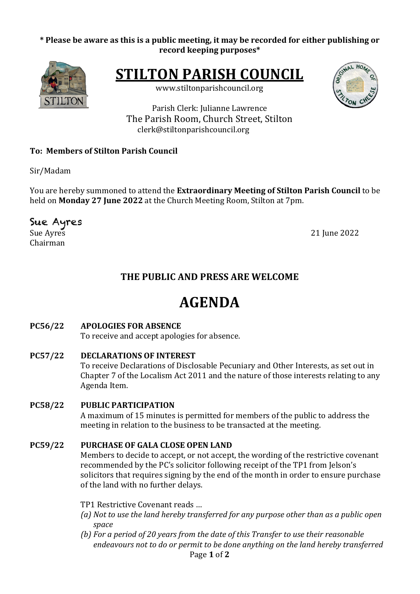### \* Please be aware as this is a public meeting, it may be recorded for either publishing or **record keeping purposes\***



**STILTON PARISH COUNCIL** 

www.stiltonparishcouncil.org



Parish Clerk: Julianne Lawrence The Parish Room, Church Street, Stilton clerk@stiltonparishcouncil.org

## **To: Members of Stilton Parish Council**

Sir/Madam

You are hereby summoned to attend the **Extraordinary Meeting of Stilton Parish Council** to be held on **Monday 27 June 2022** at the Church Meeting Room, Stilton at 7pm.

# Sue Ayres

Chairman

Sue Ayres 2022

# **THE PUBLIC AND PRESS ARE WELCOME**

# **AGENDA**

# **PC56/22 APOLOGIES FOR ABSENCE**

To receive and accept apologies for absence.

**PC57/22 DECLARATIONS OF INTEREST** To receive Declarations of Disclosable Pecuniary and Other Interests, as set out in Chapter 7 of the Localism Act 2011 and the nature of those interests relating to any Agenda Item.

## **PC58/22 PUBLIC PARTICIPATION**

A maximum of 15 minutes is permitted for members of the public to address the meeting in relation to the business to be transacted at the meeting.

## **PC59/22 PURCHASE OF GALA CLOSE OPEN LAND**

Members to decide to accept, or not accept, the wording of the restrictive covenant recommended by the PC's solicitor following receipt of the TP1 from Jelson's solicitors that requires signing by the end of the month in order to ensure purchase of the land with no further delays.

- TP1 Restrictive Covenant reads ...
- *(a)* Not to use the land hereby transferred for any purpose other than as a public open *space*
- Page **1** of **2** *(b)* For a period of 20 years from the date of this Transfer to use their reasonable endeavours not to do or permit to be done anything on the land hereby transferred